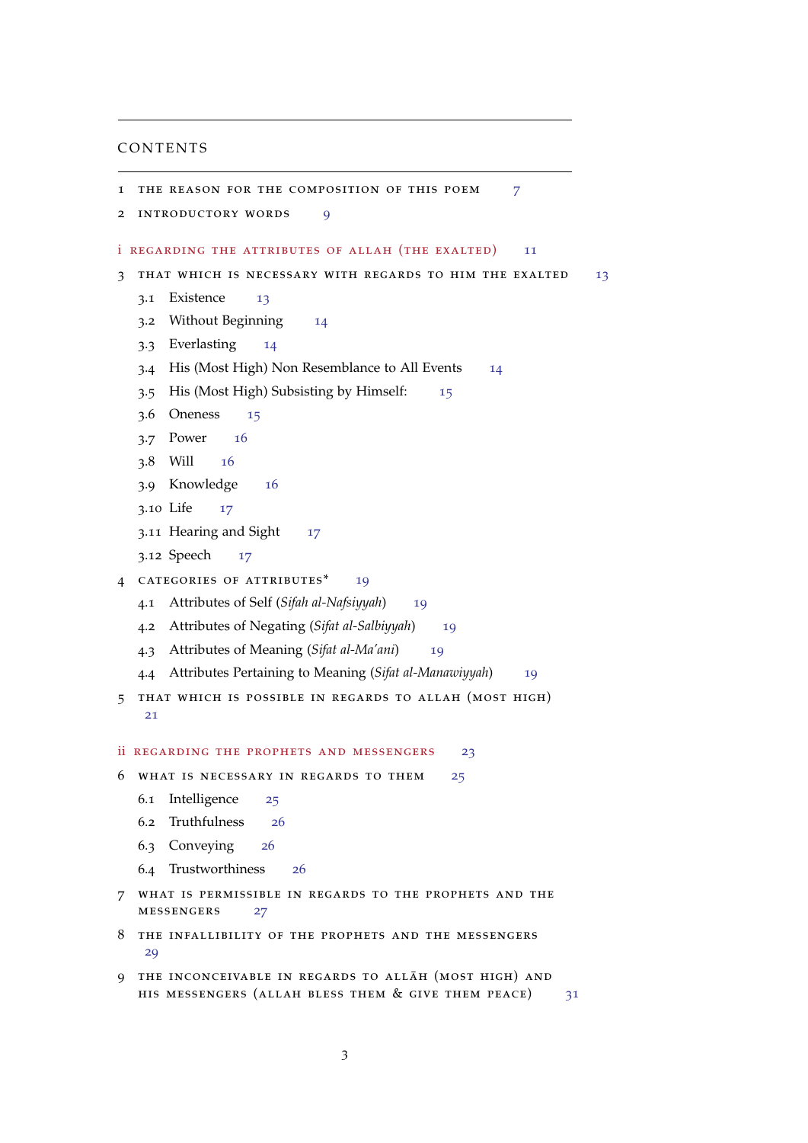## CONTENTS

```
7
9
i regarding the attributes of allah (the exalted) 11
3 that which is necessary with regards to him the exalted 13
  3.1 Existence 13
  3.2 Without Beginning 14
  3.3 Everlasting 14
  3.4 His (Most High) Non Resemblance to All Events 14
  3.5 His (Most High) Subsisting by Himself: 15
  3.6 Oneness 15
  3.7 Power 16
  3.8 Will 16
  3.9 Knowledge 16
  3.10 Life 17
  17
  3.12 Speech 17
4 categories of attributes* 19
  4.1 Attributes of Self (Sifah al-Nafsiyyah) 19
  4.2 Attributes of Negating (Sifat al-Salbiyyah) 19
  4.3 Attributes of Meaning (Sifat al-Ma'ani) 19
  4.4 Attributes Pertaining to Meaning (Sifat al-Manawiyyah) 19
5 that which is possible in regards to allah (most high)
   21
23
6 what is necessary in regards to them 25
  6.1 Intelligence 25
  6.2 Truthfulness 26
  6.3 Conveying 26
  6.4 Trustworthiness 26
7 what is permissible in regards to the prophets and the
  messengers 27
8 the infallibility of the prophets and the messengers
   29
9 THE INCONCEIVABLE IN REGARDS TO ALLAH (MOST HIGH) AND
  his messengers (allah bless them & give them peace) 31
```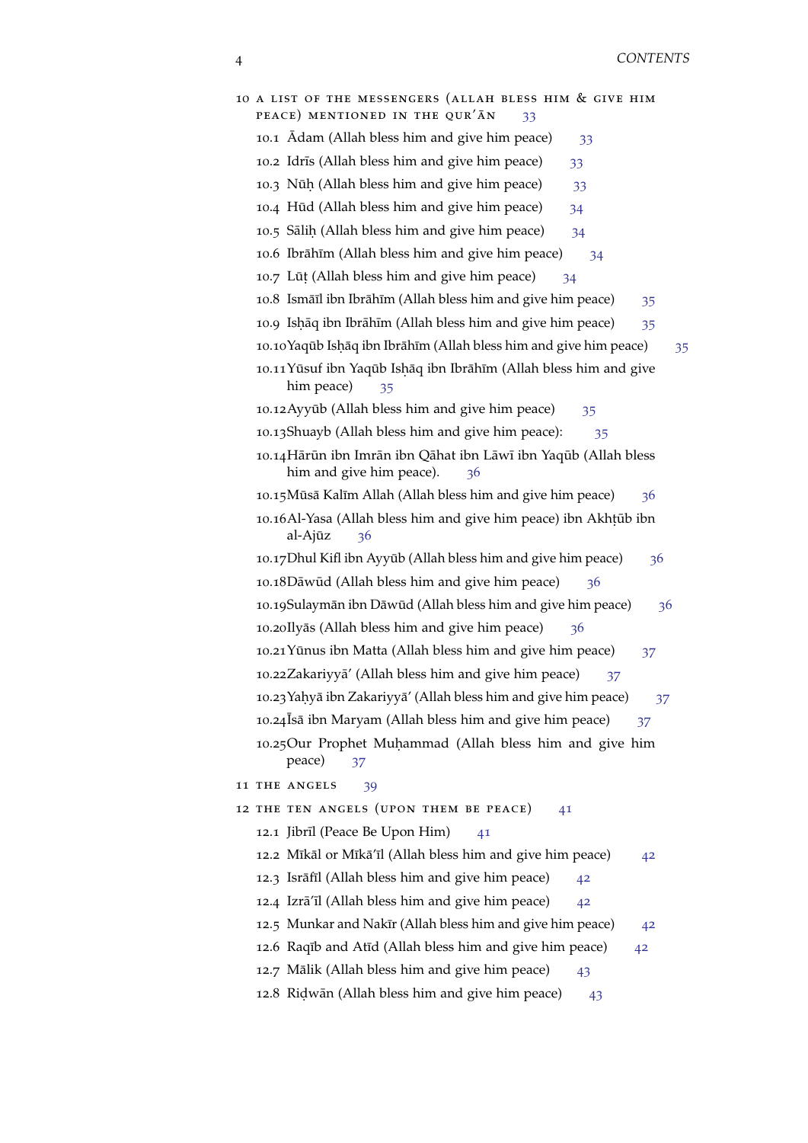| 10 A LIST OF THE MESSENGERS (ALLAH BLESS HIM & GIVE HIM<br>PEACE) MENTIONED IN THE QUR'AN<br>33  |
|--------------------------------------------------------------------------------------------------|
| 10.1 Adam (Allah bless him and give him peace)<br>33                                             |
| 10.2 Idrīs (Allah bless him and give him peace)<br>33                                            |
| 10.3 Nūh (Allah bless him and give him peace)<br>33                                              |
| 10.4 Hūd (Allah bless him and give him peace)<br>34                                              |
| 10.5 Sālih (Allah bless him and give him peace)<br>34                                            |
| 10.6 Ibrāhīm (Allah bless him and give him peace)<br>34                                          |
| 10.7 Lūt (Allah bless him and give him peace)<br>34                                              |
| 10.8 Ismāīl ibn Ibrāhīm (Allah bless him and give him peace)<br>35                               |
| 10.9 Ishāq ibn Ibrāhīm (Allah bless him and give him peace)<br>35                                |
| 10.10 Yaqūb Ishāq ibn Ibrāhīm (Allah bless him and give him peace)<br>35                         |
| 10.11 Yūsuf ibn Yaqūb Ishāq ibn Ibrāhīm (Allah bless him and give<br>him peace)<br>35            |
| 10.12 Ayyūb (Allah bless him and give him peace)<br>35                                           |
| 10.13Shuayb (Allah bless him and give him peace):<br>35                                          |
| 10.14Hārūn ibn Imrān ibn Qāhat ibn Lāwī ibn Yaqūb (Allah bless<br>him and give him peace).<br>36 |
| 10.15 Mūsā Kalīm Allah (Allah bless him and give him peace)<br>36                                |
| 10.16Al-Yasa (Allah bless him and give him peace) ibn Akhtūb ibn<br>al-Ajūz<br>36                |
| 10.17 Dhul Kifl ibn Ayyūb (Allah bless him and give him peace)<br>36                             |
| 10.18Dāwūd (Allah bless him and give him peace)<br>36                                            |
| 10.19Sulaymān ibn Dāwūd (Allah bless him and give him peace)<br>36                               |
| 10.20Ilyās (Allah bless him and give him peace)<br>36                                            |
| 10.21 Yūnus ibn Matta (Allah bless him and give him peace)<br>37                                 |
| 10.22Zakariyyā' (Allah bless him and give him peace)<br>37                                       |
| 10.23 Yahyā ibn Zakariyyā' (Allah bless him and give him peace)<br>37                            |
| 10.24 Isā ibn Maryam (Allah bless him and give him peace)<br>37                                  |
| 10.25Our Prophet Muhammad (Allah bless him and give him<br>peace)<br>37                          |
| 11 THE ANGELS<br>39                                                                              |
| 12 THE TEN ANGELS (UPON THEM BE PEACE)<br>41                                                     |
| 12.1 Jibrīl (Peace Be Upon Him)<br>41                                                            |
| 12.2 Mīkāl or Mīkā'īl (Allah bless him and give him peace)<br>42                                 |
| 12.3 Isrāfīl (Allah bless him and give him peace)<br>42                                          |
| 12.4 Izrā'īl (Allah bless him and give him peace)<br>42                                          |
| 12.5 Munkar and Nakīr (Allah bless him and give him peace)<br>42                                 |
| 12.6 Raqib and Atid (Allah bless him and give him peace)<br>42                                   |
| 12.7 Mālik (Allah bless him and give him peace)<br>43                                            |
| 12.8 Ridwān (Allah bless him and give him peace)<br>43                                           |
|                                                                                                  |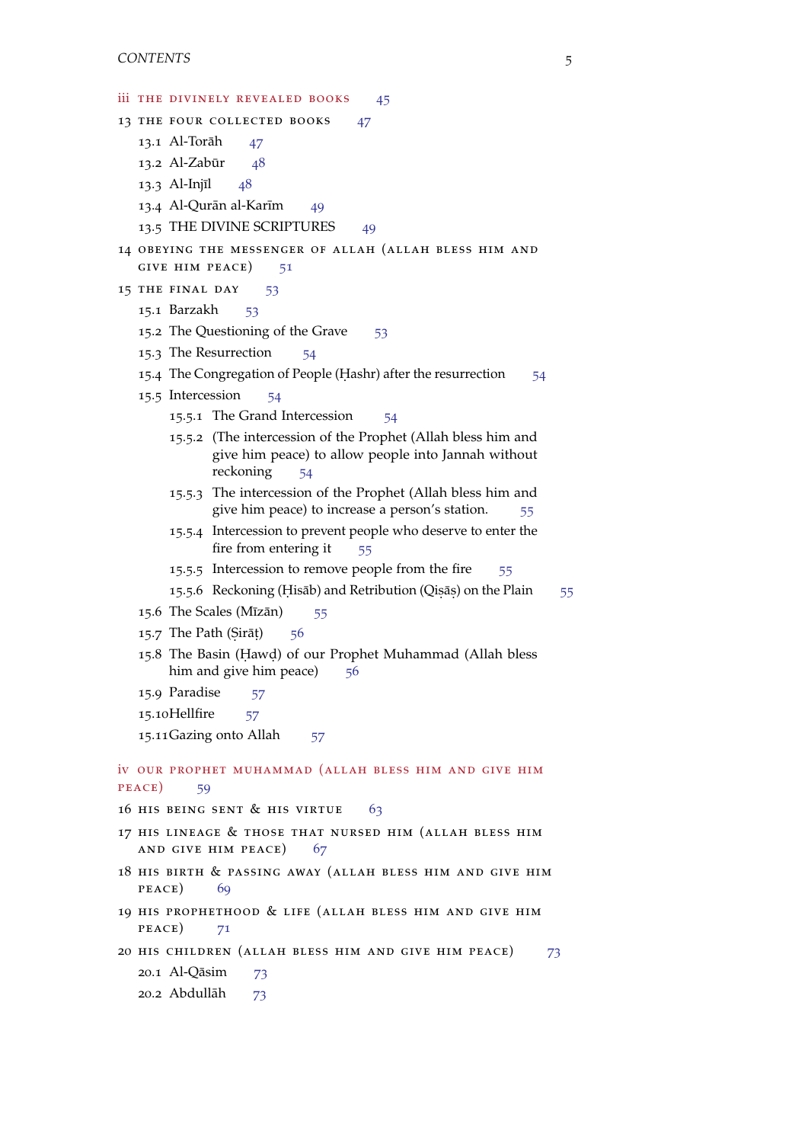```
45
47
  13.1 Al-Torah¯ 47
  48
  48
  49
  49
14 obeying the messenger of allah (allah bless him and
  51
53
  15.1 Barzakh 53
  53
  15.3 The Resurrection 54
  15.4 The Congregation of People (Hashr) after the resurrection 5415.5 Intercession 54
    15.5.1 The Grand Intercession 54
    15.5.2 (The intercession of the Prophet (Allah bless him and
        give him peace) to allow people into Jannah without
        54
    15.5.3 The intercession of the Prophet (Allah bless him and
        55
    15.5.4 Intercession to prevent people who deserve to enter the
        fire from entering it 5555
     55
  15.6 The Scales (Mīzān) 5515.7 The Path (Sirāț
                ) 56
  15.8 The Basin (Hawd) of our Prophet Muhammad (Allah bless
    56
  15.9 Paradise 57
  57
  15.11Gazing onto Allah 57
iv our prophet muhammad (allah bless him and give him
59
16 his being sent & his virtue 63
17 his lineage & those that nursed him (allah bless him
  and give him peace) 67
18 his birth & passing away (allah bless him and give him
 69
19 his prophethood & life (allah bless him and give him
  71
73
  73
  20.2 Abdullah¯ 73
```